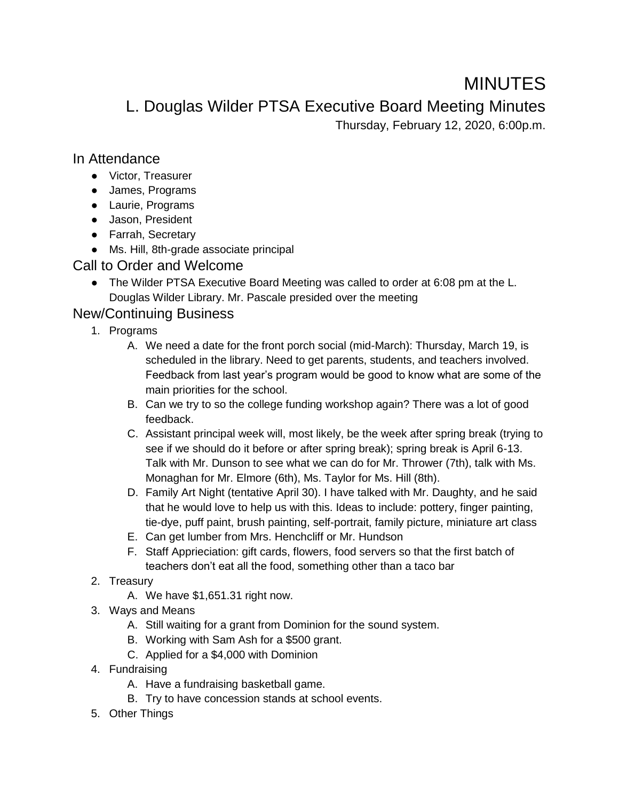# MINUTES

L. Douglas Wilder PTSA Executive Board Meeting Minutes

Thursday, February 12, 2020, 6:00p.m.

### In Attendance

- Victor, Treasurer
- James, Programs
- Laurie, Programs
- Jason, President
- Farrah, Secretary
- Ms. Hill, 8th-grade associate principal

## Call to Order and Welcome

● The Wilder PTSA Executive Board Meeting was called to order at 6:08 pm at the L. Douglas Wilder Library. Mr. Pascale presided over the meeting

# New/Continuing Business

- 1. Programs
	- A. We need a date for the front porch social (mid-March): Thursday, March 19, is scheduled in the library. Need to get parents, students, and teachers involved. Feedback from last year's program would be good to know what are some of the main priorities for the school.
	- B. Can we try to so the college funding workshop again? There was a lot of good feedback.
	- C. Assistant principal week will, most likely, be the week after spring break (trying to see if we should do it before or after spring break); spring break is April 6-13. Talk with Mr. Dunson to see what we can do for Mr. Thrower (7th), talk with Ms. Monaghan for Mr. Elmore (6th), Ms. Taylor for Ms. Hill (8th).
	- D. Family Art Night (tentative April 30). I have talked with Mr. Daughty, and he said that he would love to help us with this. Ideas to include: pottery, finger painting, tie-dye, puff paint, brush painting, self-portrait, family picture, miniature art class
	- E. Can get lumber from Mrs. Henchcliff or Mr. Hundson
	- F. Staff Apprieciation: gift cards, flowers, food servers so that the first batch of teachers don't eat all the food, something other than a taco bar
- 2. Treasury
	- A. We have \$1,651.31 right now.
- 3. Ways and Means
	- A. Still waiting for a grant from Dominion for the sound system.
	- B. Working with Sam Ash for a \$500 grant.
	- C. Applied for a \$4,000 with Dominion
- 4. Fundraising
	- A. Have a fundraising basketball game.
	- B. Try to have concession stands at school events.
- 5. Other Things